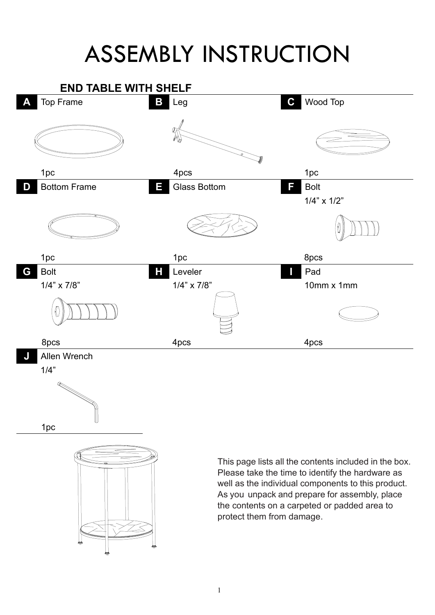## ASSEMBLY INSTRUCTION

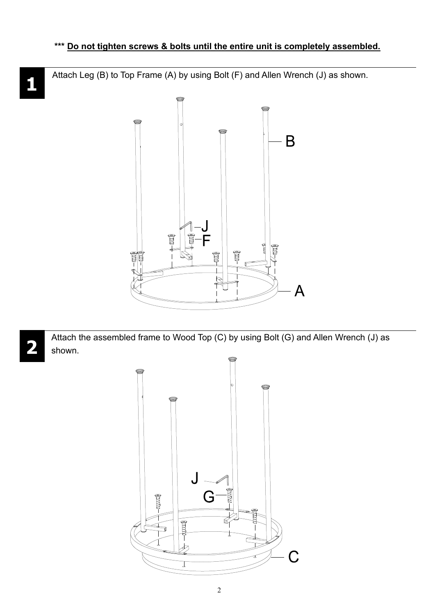Attach Leg (B) to Top Frame (A) by using Bolt (F) and Allen Wrench (J) as shown.



Attach the assembled frame to Wood Top (C) by using Bolt (G) and Allen Wrench (J) as shown.



2

## **1**

**2**